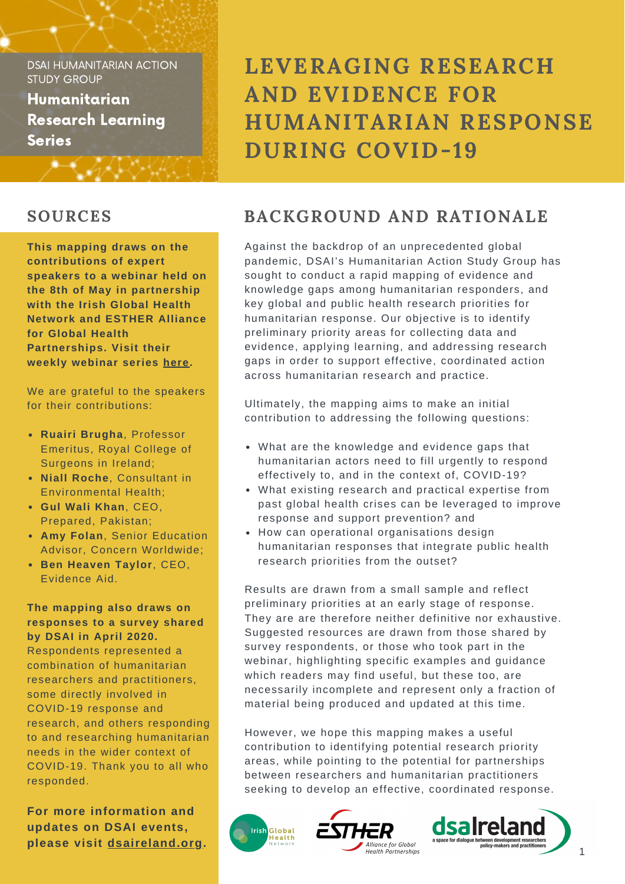Humanitarian Research Learning **Series** 

- *4*40,44

# **LEVERAGING RESEARCH AND EVIDENCE FOR HUMANITARIAN RESPONSE DURING COVID-19**

**This mapping draws on the contributions of expert speakers to a webinar held on the 8th of May in partnership with the Irish Global Health Network and ESTHER Alliance for Global Health Partnerships. Visit their weekly webinar series [here.](https://globalhealth.ie/weekly-webinar-series/)**

We are grateful to the speakers for their contributions:

- **Ruairi Brugha**, Professor Emeritus, Royal College of Surgeons in Ireland;
- **Niall Roche**, Consultant in Environmental Health;
- **Gul Wali Khan**, CEO, Prepared, Pakistan;
- **Amy Folan**, Senior Education Advisor, Concern Worldwide;
- **Ben Heaven Taylor**, CEO, Evidence Aid.

### **The mapping also draws on responses to a survey shared by DSAI in April 2020.**

Respondents represented a combination of humanitarian researchers and practitioners, some directly involved in COVID-19 response and research, and others responding to and researching humanitarian needs in the wider context of COVID-19. Thank you to all who responded.

**For more information and updates on DSAI events, please visit [dsaireland.org.](https://www.dsaireland.org/)**

# **SOURCES BACKGROUND AND RATIONALE**

Against the backdrop of an unprecedented global pandemic, DSAI's Humanitarian Action Study Group has sought to conduct a rapid mapping of evidence and knowledge gaps among humanitarian responders, and key global and public health research priorities for humanitarian response. Our objective is to identify preliminary priority areas for collecting data and evidence, applying learning, and addressing research gaps in order to support effective, coordinated action across humanitarian research and practice.

Ultimately, the mapping aims to make an initial contribution to addressing the following questions:

- What are the knowledge and evidence gaps that humanitarian actors need to fill urgently to respond effectively to, and in the context of, COVID-19?
- What existing research and practical expertise from past global health crises can be leveraged to improve response and support prevention? and
- How can operational organisations design humanitarian responses that integrate public health research priorities from the outset?

Results are drawn from a small sample and reflect preliminary priorities at an early stage of response. They are are therefore neither definitive nor exhaustive. Suggested resources are drawn from those shared by survey respondents, or those who took part in the webinar, highlighting specific examples and guidance which readers may find useful, but these too, are necessarily incomplete and represent only a fraction of material being produced and updated at this time.

However, we hope this mapping makes a useful contribution to identifying potential research priority areas, while pointing to the potential for partnerships between researchers and humanitarian practitioners seeking to develop an effective, coordinated response.





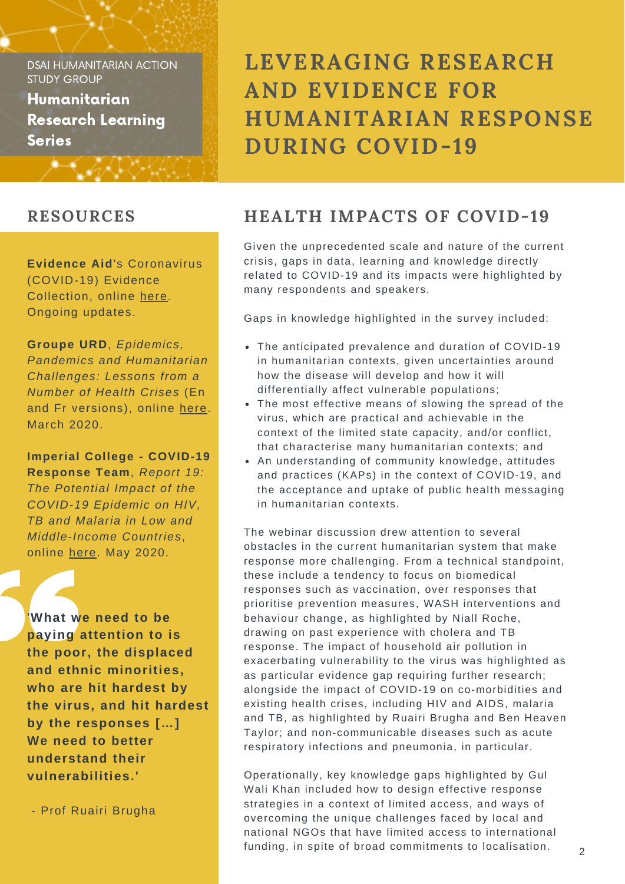Humanitarian Research Learning **Series** 

**Evidence Aid**'s Coronavirus (COVID-19) Evidence Collection, online [here.](https://www.evidenceaid.org/coronavirus-covid-19-evidence-collection/) Ongoing updates.

\*\*\*\*\*\*\*\*\*\*\*\*\*

**Groupe URD**, *Epidemics, Pandemics and Humanitarian Challenges: Lessons from a Number of Health Crises* (En and Fr versions), online [here.](https://www.urd.org/wp-content/uploads/2020/04/20200408_Crises-sanitaires_EN_FINAL.pdf) March 2020.

**Imperial College - COVID-19 Response Team**, *Report 19: The Potential Impact of the COVID-19 Epidemic on HIV, TB and Malaria in Low and Middle-Income Countries*, online [here](https://www.imperial.ac.uk/mrc-global-infectious-disease-analysis/covid-19/report-19-hiv-tb-malaria/). May 2020.

'**What we need to be paying attention to is the poor, the displaced and ethnic minorities, who are hit hardest by the virus, and hit hardest by the responses […] We need to better understand their vulnerabilities.'**

- Prof Ruairi Brugha

**LEVERAGING RESEARCH AND EVIDENCE FOR HUMANITARIAN RESPONSE DURING COVID-19**

# **RESOURCES HEALTH IMPACTS OF COVID-19**

Given the unprecedented scale and nature of the current crisis, gaps in data, learning and knowledge directly related to COVID-19 and its impacts were highlighted by many respondents and speakers.

Gaps in knowledge highlighted in the survey included:

- The anticipated prevalence and duration of COVID-19 in humanitarian contexts, given uncertainties around how the disease will develop and how it will differentially affect vulnerable populations;
- The most effective means of slowing the spread of the virus, which are practical and achievable in the context of the limited state capacity, and/or conflict, that characterise many humanitarian contexts; and
- An understanding of community knowledge, attitudes and practices (KAPs) in the context of COVID-19, and the acceptance and uptake of public health messaging in humanitarian contexts.

The webinar discussion drew attention to several obstacles in the current humanitarian system that make response more challenging. From a technical standpoint, these include a tendency to focus on biomedical responses such as vaccination, over responses that prioritise prevention measures, WASH interventions and behaviour change, as highlighted by Niall Roche, drawing on past experience with cholera and TB response. The impact of household air pollution in exacerbating vulnerability to the virus was highlighted as as particular evidence gap requiring further research; alongside the impact of COVID-19 on co-morbidities and existing health crises, including HIV and AIDS, malaria and TB, as highlighted by Ruairi Brugha and Ben Heaven Taylor; and non-communicable diseases such as acute respiratory infections and pneumonia, in particular.

Operationally, key knowledge gaps highlighted by Gul Wali Khan included how to design effective response strategies in a context of limited access, and ways of overcoming the unique challenges faced by local and national NGOs that have limited access to international funding, in spite of broad commitments to localisation.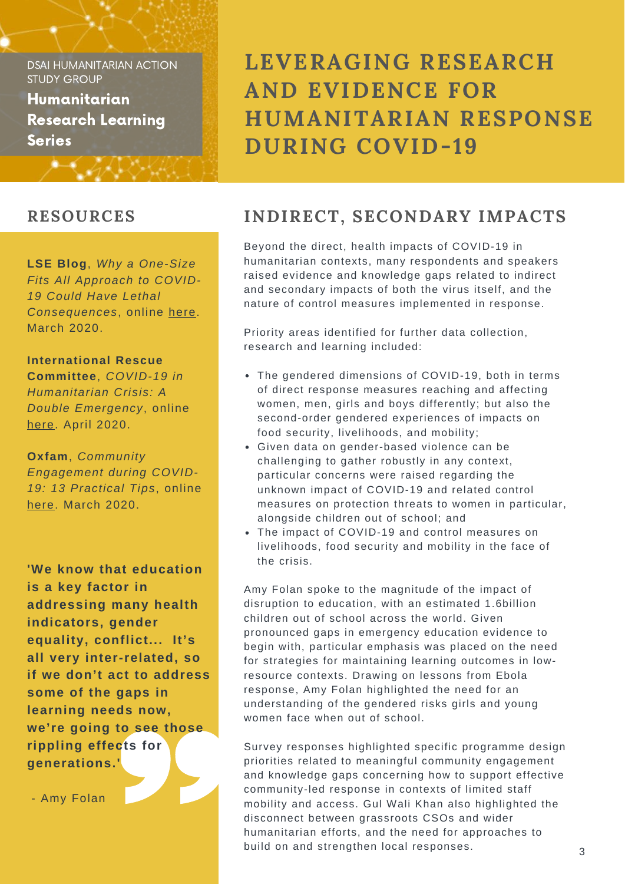Humanitarian Research Learning **Series** 

### **RESOURCES**

**LSE Blog**, *Why a One-Size Fits All Approach to COVID-19 Could Have Lethal Consequences*, online [here](https://blogs.lse.ac.uk/africaatlse/2020/03/27/coronavirus-social-distancing-covid-19-lethal-consequences/?fbclid=IwAR0lqkUIpTmukn_17mHhkeR-TBdC7RbFKTZLfZATjF2o1liXaEMEgVWJCoo). March 2020.

\*\*\*\*\*\*\*\*\*\*\*\*\*\*\*

### **International Rescue**

**Committee**, *COVID-19 in Humanitarian Crisis: A Double Emergency*, online [here.](https://www.rescue.org/report/covid-19-humanitarian-crises-double-emergency) April 2020.

**Oxfam**, *Community Engagement during COVID-19: 13 Practical Tips*, online [here.](https://reliefweb.int/report/world/community-engagement-during-covid-19-13-practical-tips) March 2020.

**'We know that education is a key factor in addressing many health indicators, gender equality, conflict... It's all very inter-related, so if we don't act to address some of the gaps in learning needs now, we're going to see those rippling effects for generations.'**

- Amy Folan

**LEVERAGING RESEARCH AND EVIDENCE FOR HUMANITARIAN RESPONSE DURING COVID-19**

## **INDIRECT, SECONDARY IMPACTS**

Beyond the direct, health impacts of COVID-19 in humanitarian contexts, many respondents and speakers raised evidence and knowledge gaps related to indirect and secondary impacts of both the virus itself, and the nature of control measures implemented in response.

Priority areas identified for further data collection, research and learning included:

- The gendered dimensions of COVID-19, both in terms of direct response measures reaching and affecting women, men, girls and boys differently; but also the second-order gendered experiences of impacts on food security, livelihoods, and mobility;
- Given data on gender-based violence can be challenging to gather robustly in any context, particular concerns were raised regarding the unknown impact of COVID-19 and related control measures on protection threats to women in particular, alongside children out of school; and
- The impact of COVID-19 and control measures on livelihoods, food security and mobility in the face of the crisis.

Amy Folan spoke to the magnitude of the impact of disruption to education, with an estimated 1.6billion children out of school across the world. Given pronounced gaps in emergency education evidence to begin with, particular emphasis was placed on the need for strategies for maintaining learning outcomes in lowresource contexts. Drawing on lessons from Ebola response, Amy Folan highlighted the need for an understanding of the gendered risks girls and young women face when out of school.

Survey responses highlighted specific programme design priorities related to meaningful community engagement and knowledge gaps concerning how to support effective community-led response in contexts of limited staff mobility and access. Gul Wali Khan also highlighted the disconnect between grassroots CSOs and wider humanitarian efforts, and the need for approaches to build on and strengthen local responses.

3